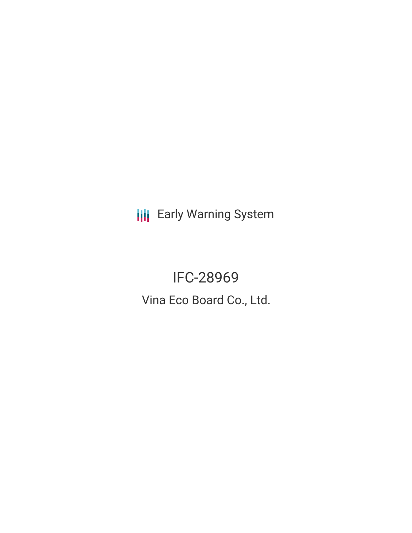**III** Early Warning System

IFC-28969 Vina Eco Board Co., Ltd.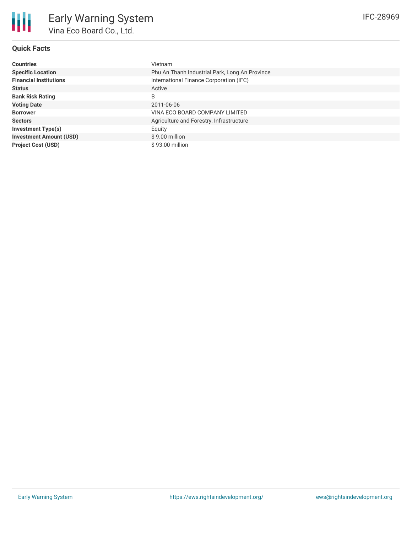## **Quick Facts**

| <b>Countries</b>               | <b>Vietnam</b>                                 |
|--------------------------------|------------------------------------------------|
| <b>Specific Location</b>       | Phu An Thanh Industrial Park, Long An Province |
| <b>Financial Institutions</b>  | International Finance Corporation (IFC)        |
| <b>Status</b>                  | Active                                         |
| <b>Bank Risk Rating</b>        | B                                              |
| <b>Voting Date</b>             | 2011-06-06                                     |
| <b>Borrower</b>                | VINA ECO BOARD COMPANY LIMITED                 |
| <b>Sectors</b>                 | Agriculture and Forestry, Infrastructure       |
| <b>Investment Type(s)</b>      | Equity                                         |
| <b>Investment Amount (USD)</b> | $$9.00$ million                                |
| <b>Project Cost (USD)</b>      | $$93.00$ million                               |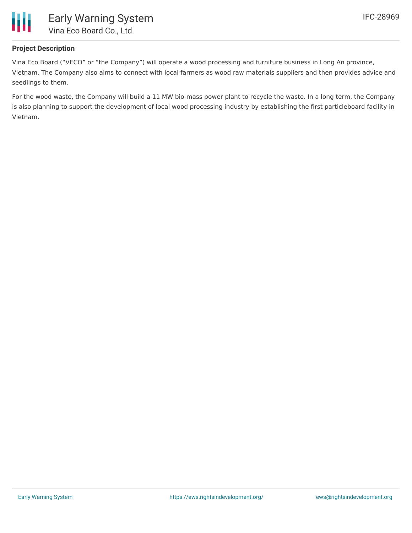

## **Project Description**

Vina Eco Board ("VECO" or "the Company") will operate a wood processing and furniture business in Long An province, Vietnam. The Company also aims to connect with local farmers as wood raw materials suppliers and then provides advice and seedlings to them.

For the wood waste, the Company will build a 11 MW bio-mass power plant to recycle the waste. In a long term, the Company is also planning to support the development of local wood processing industry by establishing the first particleboard facility in Vietnam.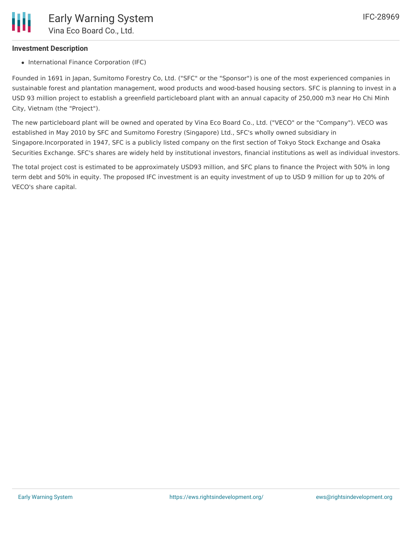## **Investment Description**

• International Finance Corporation (IFC)

Founded in 1691 in Japan, Sumitomo Forestry Co, Ltd. ("SFC" or the "Sponsor") is one of the most experienced companies in sustainable forest and plantation management, wood products and wood-based housing sectors. SFC is planning to invest in a USD 93 million project to establish a greenfield particleboard plant with an annual capacity of 250,000 m3 near Ho Chi Minh City, Vietnam (the "Project").

The new particleboard plant will be owned and operated by Vina Eco Board Co., Ltd. ("VECO" or the "Company"). VECO was established in May 2010 by SFC and Sumitomo Forestry (Singapore) Ltd., SFC's wholly owned subsidiary in Singapore.Incorporated in 1947, SFC is a publicly listed company on the first section of Tokyo Stock Exchange and Osaka Securities Exchange. SFC's shares are widely held by institutional investors, financial institutions as well as individual investors.

The total project cost is estimated to be approximately USD93 million, and SFC plans to finance the Project with 50% in long term debt and 50% in equity. The proposed IFC investment is an equity investment of up to USD 9 million for up to 20% of VECO's share capital.